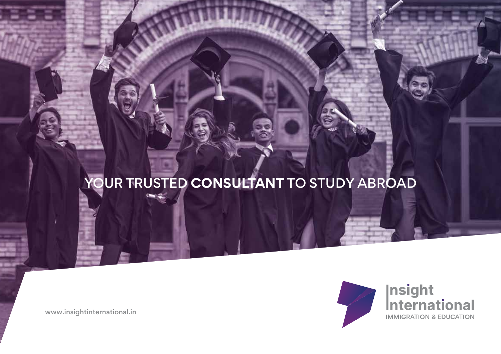# YOUR TRUSTED **CONSULTANT** TO STUDY ABROAD



www.insightinternational.in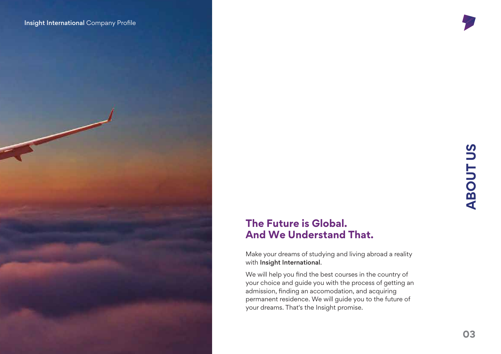

# **The Future is Global. And We Understand That.**

Make your dreams of studying and living abroad a reality with Insight International.

We will help you find the best courses in the country of your choice and guide you with the process of getting an admission, finding an accomodation, and acquiring permanent residence. We will guide you to the future of your dreams. That's the Insight promise.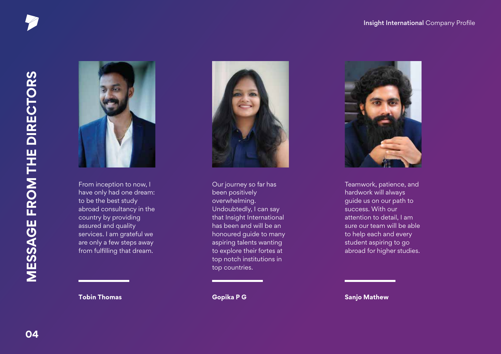

From inception to now, I have only had one dream: to be the best study abroad consultancy in the country by providing assured and quality services. I am grateful we are only a few steps away from fulfilling that dream.



Our journey so far has been positively overwhelming. Undoubtedly, I can say that Insight International has been and will be an honoured guide to many aspiring talents wanting to explore their fortes at top notch institutions in top countries.



Teamwork, patience, and hardwork will always guide us on our path to success. With our attention to detail, I am sure our team will be able to help each and every student aspiring to go abroad for higher studies.

**Tobin Thomas Gopika P G Gopika P G Sanjo Mathew**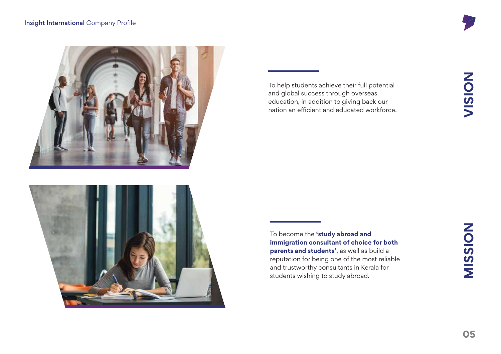



To help students achieve their full potential and global success through overseas education, in addition to giving back our nation an efficient and educated workforce. **VISION**

To become the **'study abroad and immigration consultant of choice for both parents and students'**, as well as build a reputation for being one of the most reliable and trustworthy consultants in Kerala for students wishing to study abroad.

# MISSION **MISSION**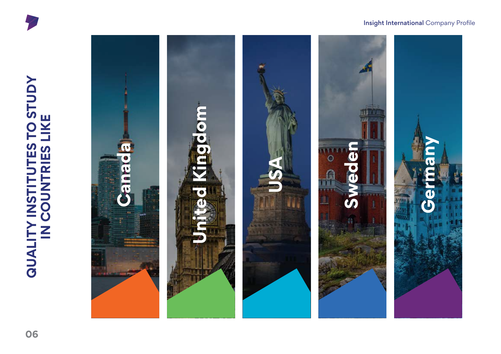



**Germany**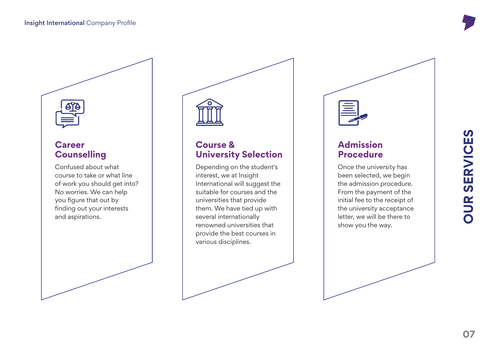



### **Career Counselling**

Confused about what course to take or what line of work you should get into? No worries. We can help you figure that out by finding out your interests and aspirations.



### **Course & University Selection**

Depending on the student's interest, we at Insight International will suggest the suitable for courses and the universities that provide them. We have tied up with several internationally renowned universities that provide the best courses in various disciplines.



# **Admission Procedure**

Once the university has been selected, we begin the admission procedure. From the payment of the initial fee to the receipt of the university acceptance letter, we will be there to show you the way.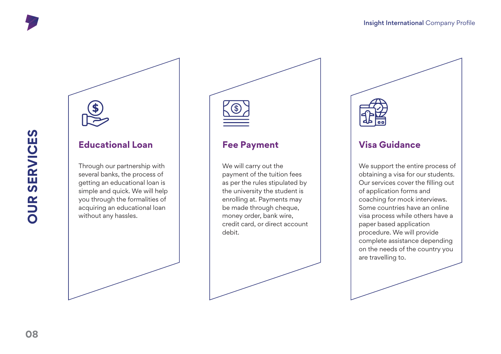

### **Educational Loan**

Through our partnership with several banks, the process of getting an educational loan is simple and quick. We will help you through the formalities of acquiring an educational loan without any hassles.



We will carry out the payment of the tuition fees as per the rules stipulated by the university the student is enrolling at. Payments may be made through cheque, money order, bank wire, credit card, or direct account debit.

### **Fee Payment Visa Guidance**

We support the entire process of obtaining a visa for our students. Our services cover the filling out of application forms and coaching for mock interviews. Some countries have an online visa process while others have a paper based application procedure. We will provide complete assistance depending on the needs of the country you are travelling to.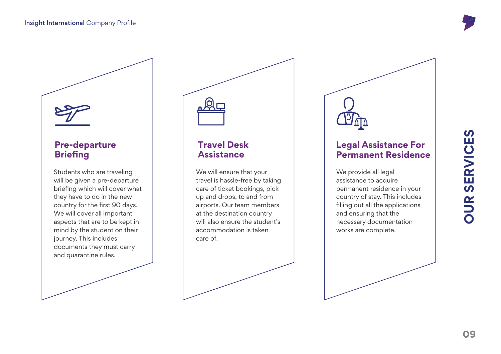

## **Pre-departure Briefing**

Students who are traveling will be given a pre-departure briefing which will cover what they have to do in the new country for the first 90 days. We will cover all important aspects that are to be kept in mind by the student on their journey. This includes documents they must carry and quarantine rules.



### **Travel Desk Assistance**

We will ensure that your travel is hassle-free by taking care of ticket bookings, pick up and drops, to and from airports. Our team members at the destination country will also ensure the student's accommodation is taken care of.

### **Legal Assistance For Permanent Residence**

We provide all legal assistance to acquire permanent residence in your country of stay. This includes filling out all the applications and ensuring that the necessary documentation works are complete.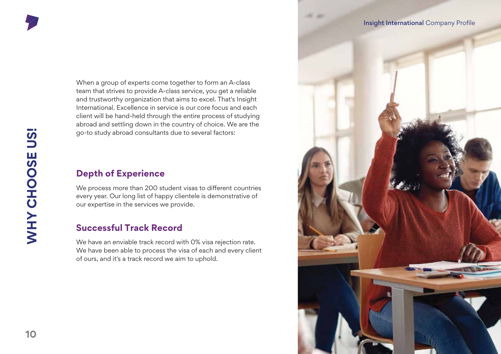When a group of experts come together to form an A-class team that strives to provide A-class service, you get a reliable and trustworthy organization that aims to excel. That's Insight International. Excellence in service is our core focus and each client will be hand-held through the entire process of studying abroad and settling down in the country of choice. We are the go-to study abroad consultants due to several factors:

# **Depth of Experience**

We process more than 200 student visas to different countries every year. Our long list of happy clientele is demonstrative of our expertise in the services we provide.

### **Successful Track Record**

We have an enviable track record with 0% visa rejection rate. We have been able to process the visa of each and every client of ours, and it's a track record we aim to uphold.

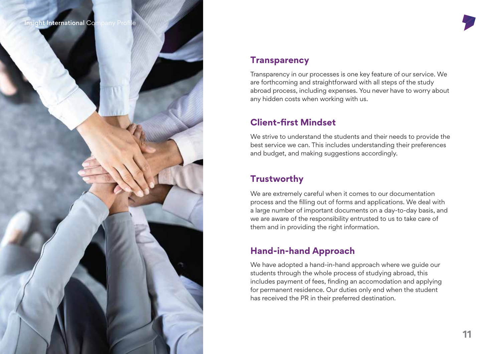# **Transparency**

Transparency in our processes is one key feature of our service. We are forthcoming and straightforward with all steps of the study abroad process, including expenses. You never have to worry about any hidden costs when working with us.

# **Client-first Mindset**

We strive to understand the students and their needs to provide the best service we can. This includes understanding their preferences and budget, and making suggestions accordingly.

# **Trustworthy**

We are extremely careful when it comes to our documentation process and the filling out of forms and applications. We deal with a large number of important documents on a day-to-day basis, and we are aware of the responsibility entrusted to us to take care of them and in providing the right information.

# **Hand-in-hand Approach**

We have adopted a hand-in-hand approach where we guide our students through the whole process of studying abroad, this includes payment of fees, finding an accomodation and applying for permanent residence. Our duties only end when the student has received the PR in their preferred destination.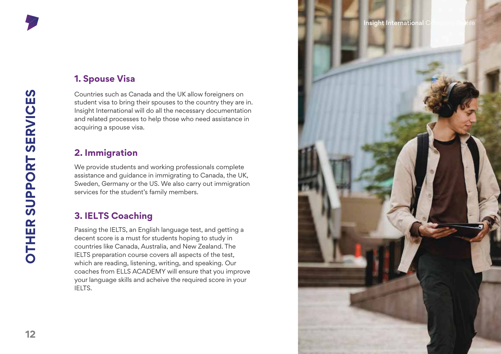# **1. Spouse Visa**

Countries such as Canada and the UK allow foreigners on student visa to bring their spouses to the country they are in. Insight International will do all the necessary documentation and related processes to help those who need assistance in acquiring a spouse visa.

## **2. Immigration**

We provide students and working professionals complete assistance and guidance in immigrating to Canada, the UK, Sweden, Germany or the US. We also carry out immigration services for the student's family members.

# **3. IELTS Coaching**

Passing the IELTS, an English language test, and getting a decent score is a must for students hoping to study in countries like Canada, Australia, and New Zealand. The IELTS preparation course covers all aspects of the test, which are reading, listening, writing, and speaking. Our coaches from ELLS ACADEMY will ensure that you improve your language skills and acheive the required score in your IELTS.

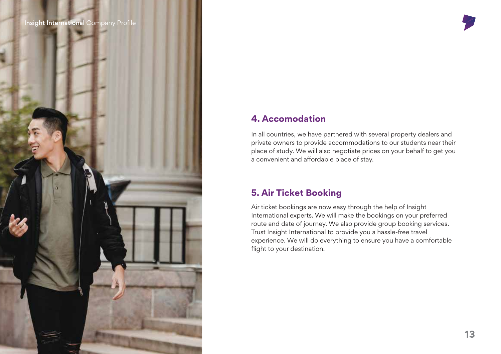

### **4. Accomodation**

In all countries, we have partnered with several property dealers and private owners to provide accommodations to our students near their place of study. We will also negotiate prices on your behalf to get you a convenient and affordable place of stay.

## **5. Air Ticket Booking**

Air ticket bookings are now easy through the help of Insight International experts. We will make the bookings on your preferred route and date of journey. We also provide group booking services. Trust Insight International to provide you a hassle-free travel experience. We will do everything to ensure you have a comfortable flight to your destination.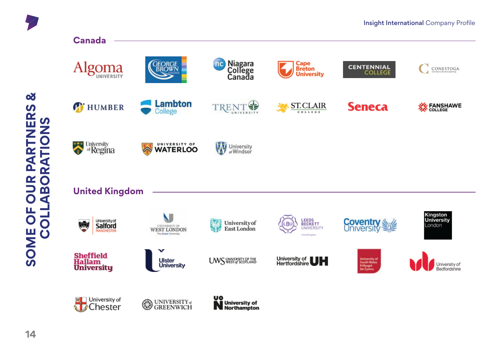



**Canada**

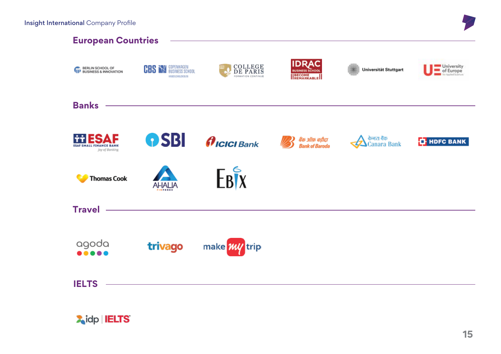![](_page_14_Figure_2.jpeg)

![](_page_14_Picture_3.jpeg)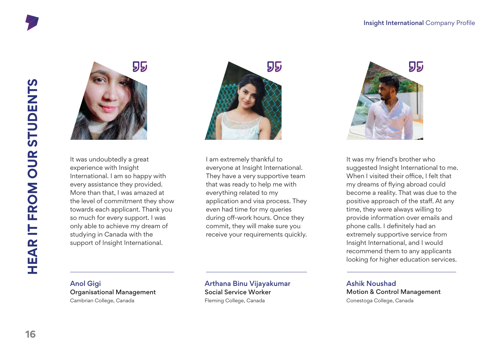![](_page_15_Picture_2.jpeg)

It was undoubtedly a great experience with Insight International. I am so happy with every assistance they provided. More than that, I was amazed at the level of commitment they show towards each applicant. Thank you so much for every support. I was only able to achieve my dream of studying in Canada with the support of Insight International.

![](_page_15_Picture_4.jpeg)

I am extremely thankful to everyone at Insight International. They have a very supportive team that was ready to help me with everything related to my application and visa process. They even had time for my queries during off-work hours. Once they commit, they will make sure you receive your requirements quickly.

![](_page_15_Picture_6.jpeg)

It was my friend's brother who suggested Insight International to me. When I visited their office, I felt that my dreams of flying abroad could become a reality. That was due to the positive approach of the staff. At any time, they were always willing to provide information over emails and phone calls. I definitely had an extremely supportive service from Insight International, and I would recommend them to any applicants looking for higher education services.

### Anol Gigi Organisational Management

Cambrian College, Canada

Arthana Binu Vijayakumar Social Service Worker Fleming College, Canada

### Ashik Noushad Motion & Control Management Conestoga College, Canada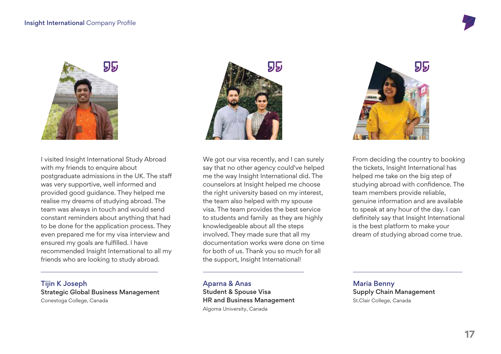![](_page_16_Picture_2.jpeg)

I visited Insight International Study Abroad with my friends to enquire about postgraduate admissions in the UK. The staff was very supportive, well informed and provided good guidance. They helped me realise my dreams of studying abroad. The team was always in touch and would send constant reminders about anything that had to be done for the application process. They even prepared me for my visa interview and ensured my goals are fulfilled. I have recommended Insight International to all my friends who are looking to study abroad.

Tijin K Joseph Strategic Global Business Management Conestoga College, Canada

![](_page_16_Picture_5.jpeg)

We got our visa recently, and I can surely say that no other agency could've helped me the way Insight International did. The counselors at Insight helped me choose the right university based on my interest, the team also helped with my spouse visa. The team provides the best service to students and family as they are highly knowledgeable about all the steps involved. They made sure that all my documentation works were done on time for both of us. Thank you so much for all the support, Insight International!

Aparna & Anas Student & Spouse Visa HR and Business Management Algoma University, Canada

![](_page_16_Picture_8.jpeg)

From deciding the country to booking the tickets, Insight International has helped me take on the big step of studying abroad with confidence. The team members provide reliable, genuine information and are available to speak at any hour of the day. I can definitely say that Insight International is the best platform to make your dream of studying abroad come true.

55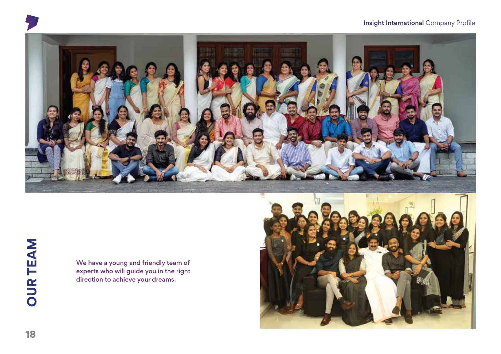![](_page_17_Picture_0.jpeg)

![](_page_17_Picture_1.jpeg)

We have a young and friendly team of experts who will guide you in the right direction to achieve your dreams.

![](_page_17_Picture_4.jpeg)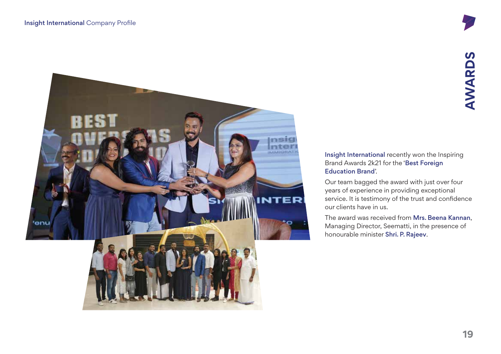![](_page_18_Picture_1.jpeg)

### Insight International recently won the Inspiring Brand Awards 2k21 for the 'Best Foreign Education Brand'.

Our team bagged the award with just over four years of experience in providing exceptional service. It is testimony of the trust and confidence our clients have in us.

The award was received from Mrs. Beena Kannan, Managing Director, Seematti, in the presence of honourable minister Shri. P. Rajeev.